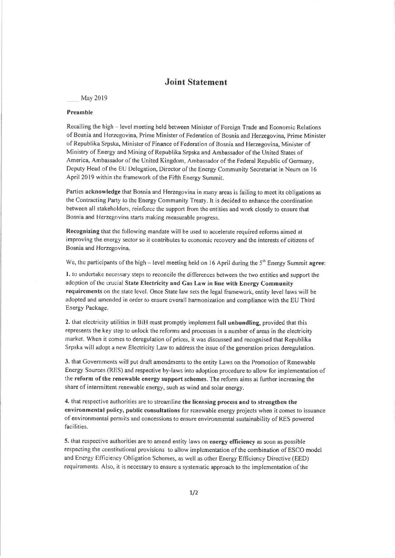## Joint Statement

## May 2019

## Preamhle

Recalling the high - Ievel meeting held between Minister of Foreign Trade and Economic Relations of Bosnia and Herzegovina, Prime Minister of Federation of Bosnia and Herzegovina, Prime Minister of Republika Srpska, Minister of Finance of Federation of Bosnia and Herzegovina, Minister of Ministry of Energy and Mining of Republika Srpska and Ambassador of the United States of America, Ambassador of the United Kingdom, Ambassador of the Federal Republic of Germany, Deputy Head of the EU Delegation, Director of lhe Energy Community Secretariat in Neum on l6 April 2019 within the framework of the Fifth Energy Summit.

Parties acknowledge that Bosnia and Herzegovina in many areas is failing to meet its obligations as the Contracting Party to the Energy Community Treaty. It is decided to enhance the coordination between all stakeholders, reinforce the support from the entities and work closely to ensure that Bosnia and Herzegovina starts making measurable progress.

Recognizing that the following mandate will be used to accelerate required reforms aimed at improving the energy sector so it contributes to egonomic recovery and the interests of citizens of Bosnia and Herzegovina,

We, the participants of the high – level meeting held on 16 April during the  $5<sup>th</sup>$  Energy Summit agree:

l. to undertake necessary steps to reconcile the differences between the two entities and support the adoption of the crucial State Electricity and Gas Law in line with Energy Community requirements on the state level. Once State law sets the legal framework, entity level laws will be adopted and amended in order to ensure overall harmonization and compliance with the EU Third Energy Package.

2. that electricity utilities in BiH must promptly implement full unbundling, provided that this represents the key step to unlock the reforms and processes in a number of areas in the electricity rnarket. When it comes to deregulation of prices, it was discussed and recognised that Republika Srpska will adopt a new Electricity Law to address the issue of the generation prices deregulation.

3. that Governments will put draft amendments to the entity Laws on the Promotion of Renewable Energy Sources (RES) and respective by-laws into adoption procedure to allow for implementation of the reform of the renewable energy support schemes. The reform aims at further increasing the share of intermittent renewable energy, such as wind and solar energy.

4. that respective authorities are to streamline the licensing process and to strengthen the environmental policy, public consultations for renewable energy projects when it comes to issuance of environmental permits and concessions to ensure environmental sustainability of RES powered facilities.

5. that respective authorities are to amend entity laws on energy efficiency as soon as possible respecting the constitutional provisions to allow implementation of the combination of ESCO model and Energy Efficiency Obligation Schemes, as well as other Energy Efficiency Directive (EED) requirements. Also, it is necessary to ensure a systematic approach to the implementation of the